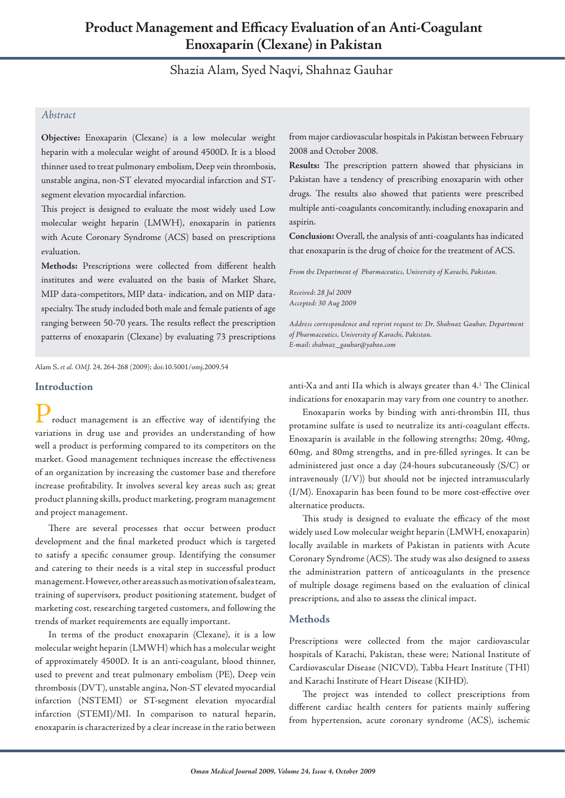# **Product Management and Efficacy Evaluation of an Anti-Coagulant Enoxaparin (Clexane) in Pakistan**

## Shazia Alam, Syed Naqvi, Shahnaz Gauhar

## *Abstract*

**Objective:** Enoxaparin (Clexane) is a low molecular weight heparin with a molecular weight of around 4500D. It is a blood thinner used to treat pulmonary embolism, Deep vein thrombosis, unstable angina, non-ST elevated myocardial infarction and STsegment elevation myocardial infarction.

This project is designed to evaluate the most widely used Low molecular weight heparin (LMWH), enoxaparin in patients with Acute Coronary Syndrome (ACS) based on prescriptions evaluation.

**Methods:** Prescriptions were collected from different health institutes and were evaluated on the basis of Market Share, MIP data-competitors, MIP data- indication, and on MIP dataspecialty. The study included both male and female patients of age ranging between 50-70 years. The results reflect the prescription patterns of enoxaparin (Clexane) by evaluating 73 prescriptions from major cardiovascular hospitals in Pakistan between February 2008 and October 2008.

**Results:** The prescription pattern showed that physicians in Pakistan have a tendency of prescribing enoxaparin with other drugs. The results also showed that patients were prescribed multiple anti-coagulants concomitantly, including enoxaparin and aspirin.

**Conclusion:** Overall, the analysis of anti-coagulants has indicated that enoxaparin is the drug of choice for the treatment of ACS.

*From the Department of Pharmaceutics, University of Karachi, Pakistan.*

*Received: 28 Jul 2009 Accepted: 30 Aug 2009*

*Address correspondence and reprint request to: Dr. Shahnaz Gauhar, Department of Pharmaceutics, University of Karachi, Pakistan. E-mail: shahnaz\_gauhar@yahoo.com*

Alam S, *et al. OMJ.* 24, 264-268 (2009); doi:10.5001/omj.2009.54

## **Introduction**

roduct management is an effective way of identifying the variations in drug use and provides an understanding of how well a product is performing compared to its competitors on the market. Good management techniques increase the effectiveness of an organization by increasing the customer base and therefore increase profitability. It involves several key areas such as; great product planning skills, product marketing, program management and project management.

There are several processes that occur between product development and the final marketed product which is targeted to satisfy a specific consumer group. Identifying the consumer and catering to their needs is a vital step in successful product management. However, other areas such as motivation of sales team, training of supervisors, product positioning statement, budget of marketing cost, researching targeted customers, and following the trends of market requirements are equally important.

In terms of the product enoxaparin (Clexane), it is a low molecular weight heparin (LMWH) which has a molecular weight of approximately 4500D. It is an anti-coagulant, blood thinner, used to prevent and treat pulmonary embolism (PE), Deep vein thrombosis (DVT), unstable angina, Non-ST elevated myocardial infarction (NSTEMI) or ST-segment elevation myocardial infarction (STEMI)/MI. In comparison to natural heparin, enoxaparin is characterized by a clear increase in the ratio between

anti-Xa and anti IIa which is always greater than 4.1 The Clinical indications for enoxaparin may vary from one country to another.

Enoxaparin works by binding with anti-thrombin III, thus protamine sulfate is used to neutralize its anti-coagulant effects. Enoxaparin is available in the following strengths; 20mg, 40mg, 60mg, and 80mg strengths, and in pre-filled syringes. It can be administered just once a day (24-hours subcutaneously (S/C) or intravenously (I/V)) but should not be injected intramuscularly (I/M). Enoxaparin has been found to be more cost-effective over alternatice products.

This study is designed to evaluate the efficacy of the most widely used Low molecular weight heparin (LMWH, enoxaparin) locally available in markets of Pakistan in patients with Acute Coronary Syndrome (ACS). The study was also designed to assess the administration pattern of anticoagulants in the presence of multiple dosage regimens based on the evaluation of clinical prescriptions, and also to assess the clinical impact.

## **Methods**

Prescriptions were collected from the major cardiovascular hospitals of Karachi, Pakistan, these were; National Institute of Cardiovascular Disease (NICVD), Tabba Heart Institute (THI) and Karachi Institute of Heart Disease (KIHD).

The project was intended to collect prescriptions from different cardiac health centers for patients mainly suffering from hypertension, acute coronary syndrome (ACS), ischemic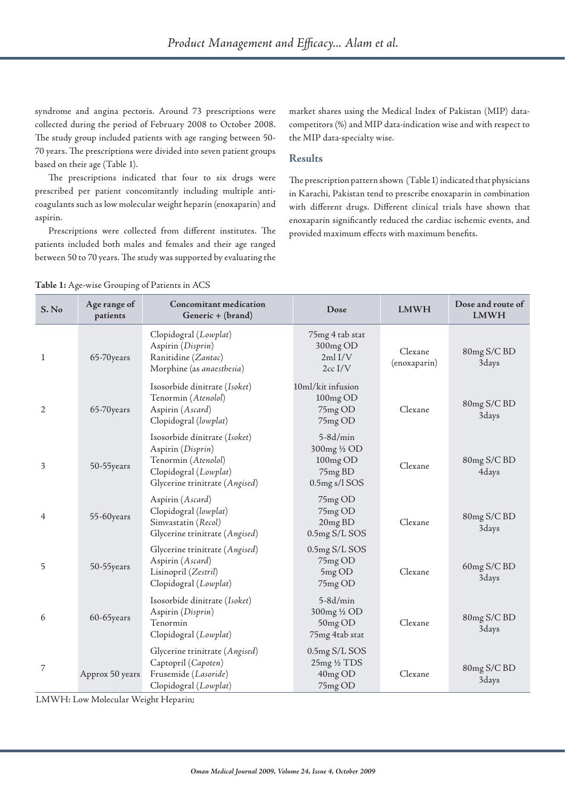syndrome and angina pectoris. Around 73 prescriptions were collected during the period of February 2008 to October 2008. The study group included patients with age ranging between 50- 70 years. The prescriptions were divided into seven patient groups based on their age (Table 1).

The prescriptions indicated that four to six drugs were prescribed per patient concomitantly including multiple anticoagulants such as low molecular weight heparin (enoxaparin) and aspirin.

Prescriptions were collected from different institutes. The patients included both males and females and their age ranged between 50 to 70 years. The study was supported by evaluating the market shares using the Medical Index of Pakistan (MIP) datacompetitors (%) and MIP data-indication wise and with respect to the MIP data-specialty wise.

## **Results**

The prescription pattern shown (Table 1) indicated that physicians in Karachi, Pakistan tend to prescribe enoxaparin in combination with different drugs. Different clinical trials have shown that enoxaparin significantly reduced the cardiac ischemic events, and provided maximum effects with maximum benefits.

**Table 1:** Age-wise Grouping of Patients in ACS

| S. No | Age range of<br>patients | Concomitant medication<br>Generic + (brand)                                                                                          | Dose                                                                  | <b>LMWH</b>             | Dose and route of<br><b>LMWH</b> |
|-------|--------------------------|--------------------------------------------------------------------------------------------------------------------------------------|-----------------------------------------------------------------------|-------------------------|----------------------------------|
| 1     | 65-70 years              | Clopidogral (Lowplat)<br>Aspirin (Disprin)<br>Ranitidine (Zantac)<br>Morphine (as anaesthesia)                                       | 75mg 4 tab stat<br>300mg OD<br>2ml <sub>IV</sub><br>$2cc$ I/V         | Clexane<br>(enoxaparin) | 80mg S/C BD<br>3days             |
| 2     | 65-70years               | Isosorbide dinitrate (Isoket)<br>Tenormin (Atenolol)<br>Aspirin (Ascard)<br>Clopidogral (lowplat)                                    | 10ml/kit infusion<br>100mg OD<br>75mg OD<br>75mg OD                   | Clexane                 | 80mg S/C BD<br>3days             |
| 3     | 50-55years               | Isosorbide dinitrate (Isoket)<br>Aspirin (Disprin)<br>Tenormin (Atenolol)<br>Clopidogral (Lowplat)<br>Glycerine trinitrate (Angised) | $5-8d/min$<br>300mg 1/2 OD<br>100mg OD<br>75mg BD<br>$0.5$ mg s/l SOS | Clexane                 | 80mg S/C BD<br>4days             |
| 4     | 55-60 years              | Aspirin (Ascard)<br>Clopidogral (lowplat)<br>Simvastatin (Recol)<br>Glycerine trinitrate (Angised)                                   | 75mg OD<br>75mg OD<br>20mg BD<br>0.5mg S/L SOS                        | Clexane                 | 80mg S/C BD<br>3days             |
| 5     | 50-55years               | Glycerine trinitrate (Angised)<br>Aspirin (Ascard)<br>Lisinopril (Zestril)<br>Clopidogral (Lowplat)                                  | 0.5mg S/L SOS<br>75mg OD<br>5mg OD<br>75mg OD                         | Clexane                 | 60mg S/C BD<br>3days             |
| 6     | 60-65years               | Isosorbide dinitrate (Isoket)<br>Aspirin (Disprin)<br>Tenormin<br>Clopidogral (Lowplat)                                              | $5-8d/min$<br>300mg 1/2 OD<br>50mg OD<br>75mg 4tab stat               | Clexane                 | 80mg S/C BD<br>3days             |
| 7     | Approx 50 years          | Glycerine trinitrate (Angised)<br>Captopril (Capoten)<br>Frusemide (Lasoride)<br>Clopidogral (Lowplat)                               | 0.5mg S/L SOS<br>25mg 1/2 TDS<br>40mg OD<br>75mg OD                   | Clexane                 | 80mg S/C BD<br>3days             |

LMWH: Low Molecular Weight Heparin;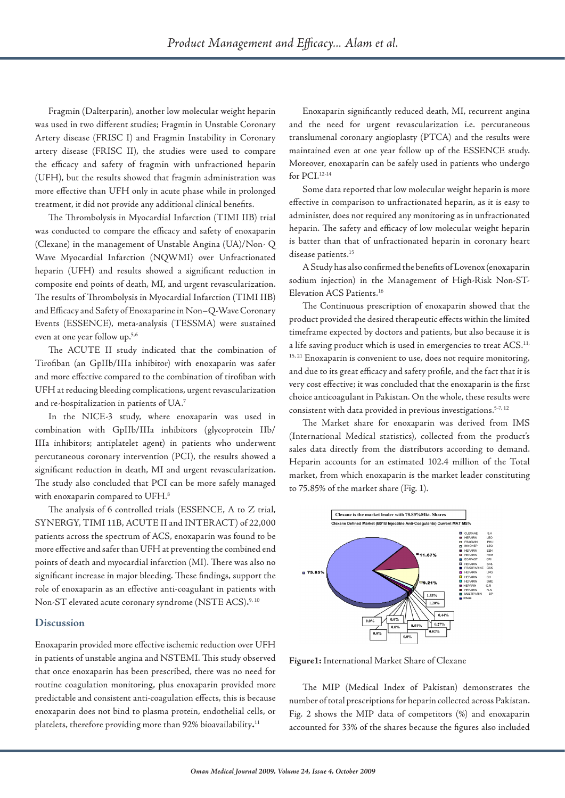Fragmin (Dalterparin), another low molecular weight heparin was used in two different studies; Fragmin in Unstable Coronary Artery disease (FRISC I) and Fragmin Instability in Coronary artery disease (FRISC II), the studies were used to compare the efficacy and safety of fragmin with unfractioned heparin (UFH), but the results showed that fragmin administration was more effective than UFH only in acute phase while in prolonged treatment, it did not provide any additional clinical benefits.

The Thrombolysis in Myocardial Infarction (TIMI IIB) trial was conducted to compare the efficacy and safety of enoxaparin (Clexane) in the management of Unstable Angina (UA)/Non- Q Wave Myocardial Infarction (NQWMI) over Unfractionated heparin (UFH) and results showed a significant reduction in composite end points of death, MI, and urgent revascularization. The results of Thrombolysis in Myocardial Infarction (TIMI IIB) and Efficacy and Safety of Enoxaparine in Non–Q-Wave Coronary Events (ESSENCE), meta-analysis (TESSMA) were sustained even at one year follow up.5,6

The ACUTE II study indicated that the combination of Tirofiban (an GpIIb/IIIa inhibitor) with enoxaparin was safer and more effective compared to the combination of tirofiban with UFH at reducing bleeding complications, urgent revascularization and re-hospitalization in patients of UA.7

In the NICE-3 study, where enoxaparin was used in combination with GpIIb/IIIa inhibitors (glycoprotein IIb/ IIIa inhibitors; antiplatelet agent) in patients who underwent percutaneous coronary intervention (PCI), the results showed a significant reduction in death, MI and urgent revascularization. The study also concluded that PCI can be more safely managed with enoxaparin compared to UFH.<sup>8</sup>

The analysis of 6 controlled trials (ESSENCE, A to Z trial, SYNERGY, TIMI 11B, ACUTE II and INTERACT) of 22,000 patients across the spectrum of ACS, enoxaparin was found to be more effective and safer than UFH at preventing the combined end points of death and myocardial infarction (MI). There was also no significant increase in major bleeding. These findings, support the role of enoxaparin as an effective anti-coagulant in patients with Non-ST elevated acute coronary syndrome (NSTE ACS)**.** 9, 10

### **Discussion**

Enoxaparin provided more effective ischemic reduction over UFH in patients of unstable angina and NSTEMI. This study observed that once enoxaparin has been prescribed, there was no need for routine coagulation monitoring, plus enoxaparin provided more predictable and consistent anti-coagulation effects, this is because enoxaparin does not bind to plasma protein, endothelial cells, or platelets, therefore providing more than 92% bioavailability**.** 11

Enoxaparin significantly reduced death, MI, recurrent angina and the need for urgent revascularization i.e. percutaneous translumenal coronary angioplasty (PTCA) and the results were maintained even at one year follow up of the ESSENCE study. Moreover, enoxaparin can be safely used in patients who undergo for PCI.12-14

Some data reported that low molecular weight heparin is more effective in comparison to unfractionated heparin, as it is easy to administer, does not required any monitoring as in unfractionated heparin. The safety and efficacy of low molecular weight heparin is batter than that of unfractionated heparin in coronary heart disease patients.<sup>15</sup>

A Study has also confirmed the benefits of Lovenox (enoxaparin sodium injection) in the Management of High-Risk Non-ST-Elevation ACS Patients.16

The Continuous prescription of enoxaparin showed that the product provided the desired therapeutic effects within the limited timeframe expected by doctors and patients, but also because it is a life saving product which is used in emergencies to treat ACS.<sup>11,</sup>  $15, 21$  Enoxaparin is convenient to use, does not require monitoring, and due to its great efficacy and safety profile, and the fact that it is very cost effective; it was concluded that the enoxaparin is the first choice anticoagulant in Pakistan. On the whole, these results were consistent with data provided in previous investigations.<sup>5-7, 12</sup>

The Market share for enoxaparin was derived from IMS (International Medical statistics), collected from the product's sales data directly from the distributors according to demand. Heparin accounts for an estimated 102.4 million of the Total market, from which enoxaparin is the market leader constituting to 75.85% of the market share (Fig. 1).



**Figure1:** International Market Share of Clexane

The MIP (Medical Index of Pakistan) demonstrates the number of total prescriptions for heparin collected across Pakistan. Fig. 2 shows the MIP data of competitors (%) and enoxaparin accounted for 33% of the shares because the figures also included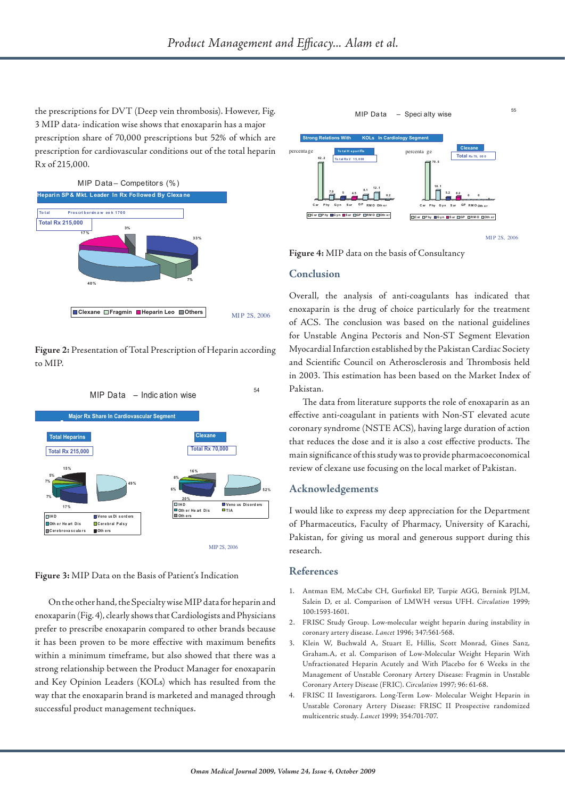the prescriptions for DVT (Deep vein thrombosis). However, Fig. 3 MIP data- indication wise shows that enoxaparin has a major prescription share of 70,000 prescriptions but 52% of which are prescription for cardiovascular conditions out of the total heparin Rx of 215,000.



**Figure 2:** Presentation of Total Prescription of Heparin according to MIP.



**Figure 3:** MIP Data on the Basis of Patient's Indication

On the other hand, the Specialty wise MIP data for heparin and enoxaparin (Fig. 4), clearly shows that Cardiologists and Physicians prefer to prescribe enoxaparin compared to other brands because it has been proven to be more effective with maximum benefits within a minimum timeframe, but also showed that there was a strong relationship between the Product Manager for enoxaparin and Key Opinion Leaders (KOLs) which has resulted from the way that the enoxaparin brand is marketed and managed through successful product management techniques.



**Figure 4:** MIP data on the basis of Consultancy

#### **Conclusion**

Overall, the analysis of anti-coagulants has indicated that enoxaparin is the drug of choice particularly for the treatment of ACS. The conclusion was based on the national guidelines for Unstable Angina Pectoris and Non-ST Segment Elevation Myocardial Infarction established by the Pakistan Cardiac Society and Scientific Council on Atherosclerosis and Thrombosis held in 2003. This estimation has been based on the Market Index of Pakistan.

The data from literature supports the role of enoxaparin as an effective anti-coagulant in patients with Non-ST elevated acute coronary syndrome (NSTE ACS), having large duration of action that reduces the dose and it is also a cost effective products. The main significance of this study was to provide pharmacoeconomical review of clexane use focusing on the local market of Pakistan.

### **Acknowledgements**

I would like to express my deep appreciation for the Department of Pharmaceutics, Faculty of Pharmacy, University of Karachi, Pakistan, for giving us moral and generous support during this research.

#### **References**

- 1. Antman EM, McCabe CH, Gurfinkel EP, Turpie AGG, Bernink PJLM, Salein D, et al. Comparison of LMWH versus UFH. *Circulation* 1999; 100:1593-1601.
- 2. FRISC Study Group. Low-molecular weight heparin during instability in coronary artery disease. *Lancet* 1996; 347:561-568.
- 3. Klein W, Buchwald A, Stuart E, Hillis, Scott Monrad, Gines Sanz, Graham.A, et al. Comparison of Low-Molecular Weight Heparin With Unfractionated Heparin Acutely and With Placebo for 6 Weeks in the Management of Unstable Coronary Artery Disease: Fragmin in Unstable Coronary Artery Disease (FRIC). *Circulation* 1997; 96: 61-68.
- 4. FRISC II Investigarors. Long-Term Low- Molecular Weight Heparin in Unstable Coronary Artery Disease: FRISC II Prospective randomized multicentric study. *Lancet* 1999; 354:701-707.